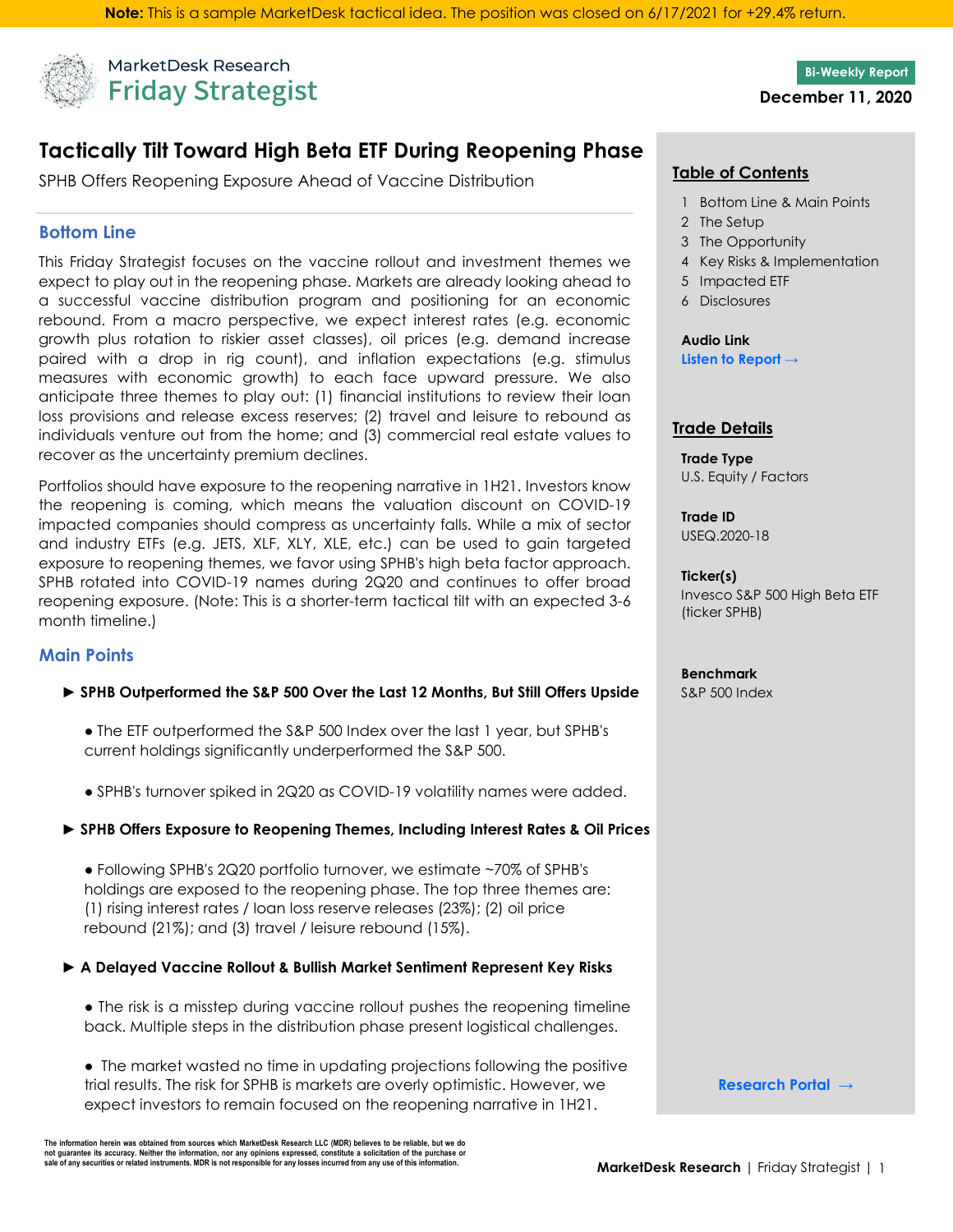

MarketDesk Research **Friday Strategist** 

# **Tactically Tilt Toward High Beta ETF During Reopening Phase**

 **Table of Contents** SPHB Offers Reopening Exposure Ahead of Vaccine Distribution

### **Bottom Line**

This Friday Strategist focuses on the vaccine rollout and investment themes we expect to play out in the reopening phase. Markets are already looking ahead to a successful vaccine distribution program and positioning for an economic rebound. From a macro perspective, we expect interest rates (e.g. economic growth plus rotation to riskier asset classes), oil prices (e.g. demand increase paired with a drop in rig count), and inflation expectations (e.g. stimulus measures with economic growth) to each face upward pressure. We also anticipate three themes to play out: (1) financial institutions to review their loan loss provisions and release excess reserves; (2) travel and leisure to rebound as individuals venture out from the home; and (3) commercial real estate values to recover as the uncertainty premium declines.

Portfolios should have exposure to the reopening narrative in 1H21. Investors know the reopening is coming, which means the valuation discount on COVID-19 impacted companies should compress as uncertainty falls. While a mix of sector and industry ETFs (e.g. JETS, XLF, XLY, XLE, etc.) can be used to gain targeted exposure to reopening themes, we favor using SPHB's high beta factor approach. SPHB rotated into COVID-19 names during 2Q20 and continues to offer broad reopening exposure. (Note: This is a shorter-term tactical tilt with an expected 3-6 month timeline.)

### **Main Points**

#### ► SPHB Outperformed the S&P 500 Over the Last 12 Months, But Still Offers Upside S&P 500 Index

- The ETF outperformed the S&P 500 Index over the last 1 year, but SPHB's current holdings significantly underperformed the S&P 500.
- SPHB's turnover spiked in 2Q20 as COVID-19 volatility names were added.

#### **► SPHB Offers Exposure to Reopening Themes, Including Interest Rates & Oil Prices**

● Following SPHB's 2Q20 portfolio turnover, we estimate ~70% of SPHB's holdings are exposed to the reopening phase. The top three themes are: (1) rising interest rates / loan loss reserve releases (23%); (2) oil price rebound (21%); and (3) travel / leisure rebound (15%).

#### **► A Delayed Vaccine Rollout & Bullish Market Sentiment Represent Key Risks**

● The risk is a misstep during vaccine rollout pushes the reopening timeline back. Multiple steps in the distribution phase present logistical challenges.

● The market wasted no time in updating projections following the positive trial results. The risk for SPHB is markets are overly optimistic. However, we expect investors to remain focused on the reopening narrative in 1H21.

The information herein was obtained from sources which MarketDesk Research LLC (MDR) believes to be reliable, but we do not guarantee its accuracy. Neither the information, nor any opinions expressed, constitute a solicitation of the purchase or<br>sale of any securities or related instruments. MDR is not responsible for any losses incurred fr

**Bi-Weekly Report December 11, 2020**

- 1 Bottom Line & Main Points
- 2 The Setup
- 3 The Opportunity
- 4 Key Risks & Implementation
- 5 Impacted ETF
- 6 Disclosures

**Audio Link [Listen to Report →](https://reports.marketdeskresearch.com/hubfs/1-Research/03-FridayStrat/FridayStratAudio-12.11.2020-b6ju0x9ozn.mp3)**

#### **Trade Details**

**Trade Type** U.S. Equity / Factors

**Trade ID** USEQ.2020-18

**Ticker(s)** Invesco S&P 500 High Beta ETF (ticker SPHB)

### **Benchmark**

**[Research Portal →](https://www.marketdeskresearch.com/dashboard)**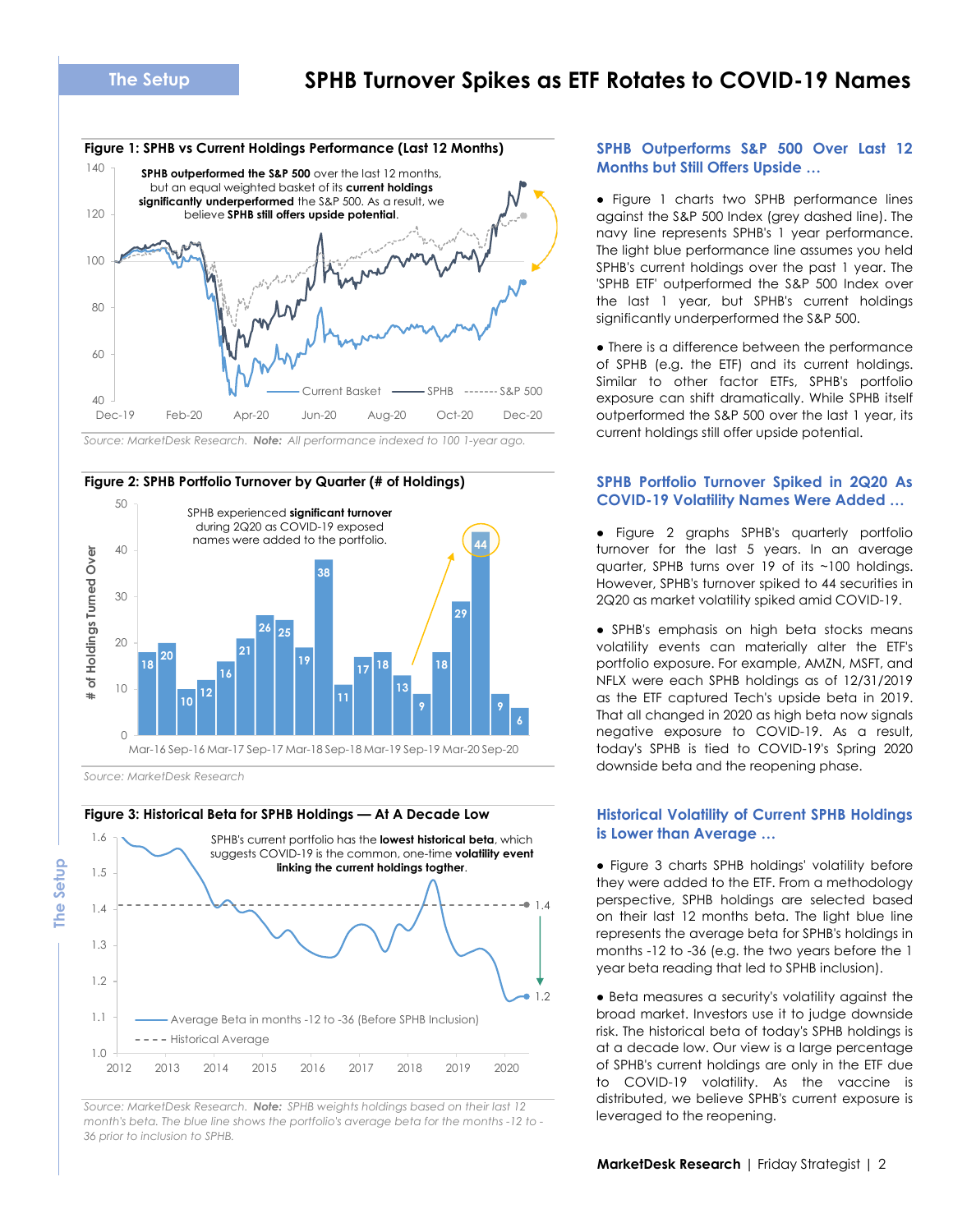## **SPHB Turnover Spikes as ETF Rotates to COVID-19 Names**



*Source: MarketDesk Research. Note: All performance indexed to 100 1-year ago.*



*Source: MarketDesk Research*

**The Setup**

#### **Figure 3: Historical Beta for SPHB Holdings — At A Decade Low**



Source: MarketDesk Research. **Note:** *SPHB weights holdings based on their last 12 Clarifolders and the reopening.*<br>Property's bata The blue line shows the portfolio's average beta for the months 12 to **leveraged to th** *month's beta. The blue line shows the portfolio's average beta for the months -12 to - 36 prior to inclusion to SPHB.*

#### **SPHB Outperforms S&P 500 Over Last 12 Months but Still Offers Upside …**

● Figure 1 charts two SPHB performance lines against the S&P 500 Index (grey dashed line). The navy line represents SPHB's 1 year performance. The light blue performance line assumes you held SPHB's current holdings over the past 1 year. The 'SPHB ETF' outperformed the S&P 500 Index over the last 1 year, but SPHB's current holdings significantly underperformed the S&P 500.

● There is a difference between the performance of SPHB (e.g. the ETF) and its current holdings. Similar to other factor ETFs, SPHB's portfolio exposure can shift dramatically. While SPHB itself outperformed the S&P 500 over the last 1 year, its current holdings still offer upside potential.

#### **SPHB Portfolio Turnover Spiked in 2Q20 As COVID-19 Volatility Names Were Added …**

● Figure 2 graphs SPHB's quarterly portfolio turnover for the last 5 years. In an average quarter, SPHB turns over 19 of its ~100 holdings. However, SPHB's turnover spiked to 44 securities in 2Q20 as market volatility spiked amid COVID-19.

● SPHB's emphasis on high beta stocks means volatility events can materially alter the ETF's portfolio exposure. For example, AMZN, MSFT, and NFLX were each SPHB holdings as of 12/31/2019 as the ETF captured Tech's upside beta in 2019. That all changed in 2020 as high beta now signals negative exposure to COVID-19. As a result, today's SPHB is tied to COVID-19's Spring 2020 downside beta and the reopening phase.

#### **Historical Volatility of Current SPHB Holdings is Lower than Average …**

● Figure 3 charts SPHB holdings' volatility before they were added to the ETF. From a methodology perspective, SPHB holdings are selected based on their last 12 months beta. The light blue line represents the average beta for SPHB's holdings in months -12 to -36 (e.g. the two years before the 1 year beta reading that led to SPHB inclusion).

● Beta measures a security's volatility against the broad market. Investors use it to judge downside risk. The historical beta of today's SPHB holdings is at a decade low. Our view is a large percentage of SPHB's current holdings are only in the ETF due to COVID-19 volatility. As the vaccine is distributed, we believe SPHB's current exposure is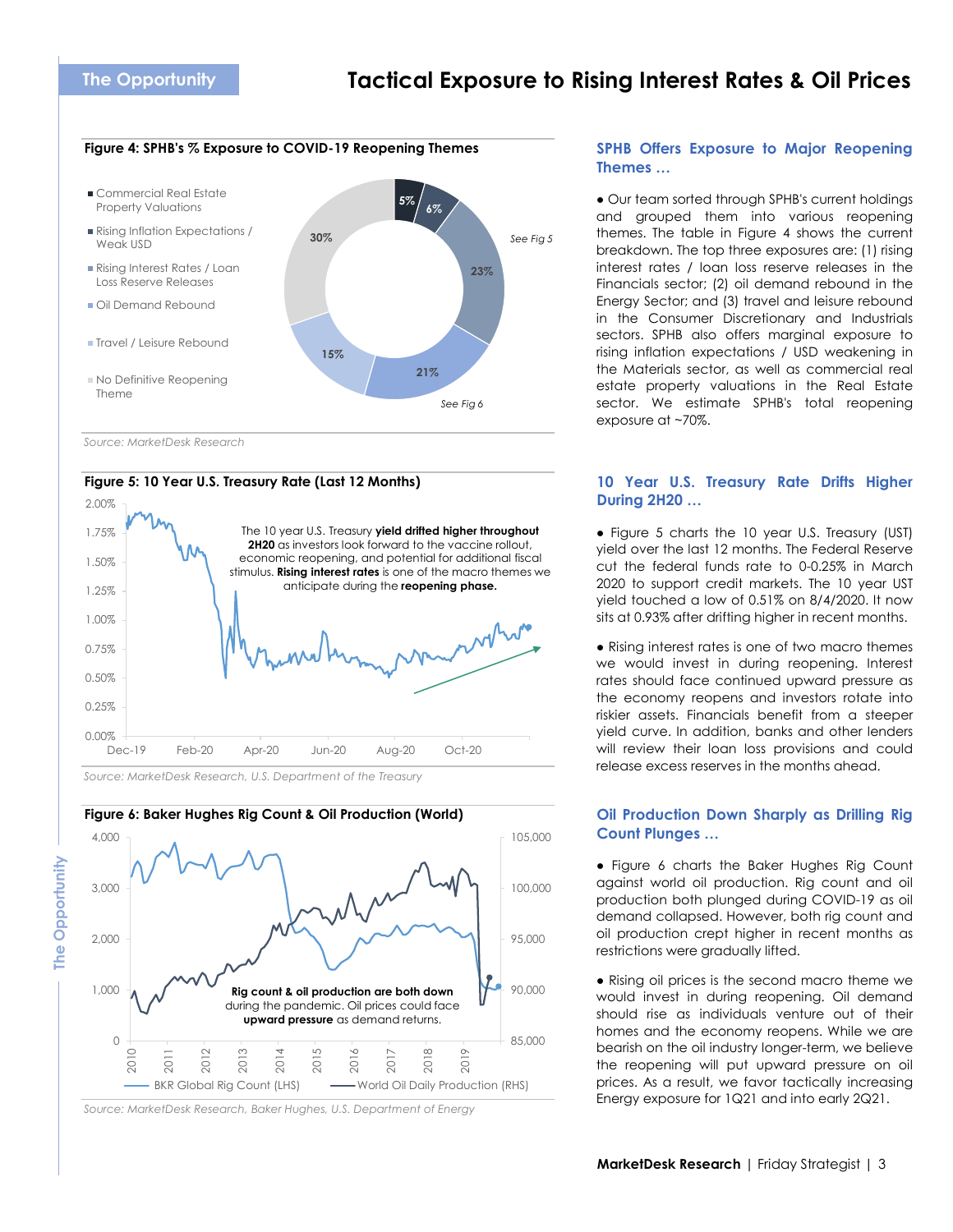#### **Figure 4: SPHB's % Exposure to COVID-19 Reopening Themes**



*Source: MarketDesk Research*

The Opportunity

#### **Figure 5: 10 Year U.S. Treasury Rate (Last 12 Months)**



*Source: MarketDesk Research, U.S. Department of the Treasury*



*Source: MarketDesk Research, Baker Hughes, U.S. Department of Energy*

#### **SPHB Offers Exposure to Major Reopening Themes …**

● Our team sorted through SPHB's current holdings and grouped them into various reopening themes. The table in Figure 4 shows the current breakdown. The top three exposures are: (1) rising interest rates / loan loss reserve releases in the Financials sector; (2) oil demand rebound in the Energy Sector; and (3) travel and leisure rebound in the Consumer Discretionary and Industrials sectors. SPHB also offers marginal exposure to rising inflation expectations / USD weakening in the Materials sector, as well as commercial real estate property valuations in the Real Estate sector. We estimate SPHB's total reopening exposure at ~70%.

#### **10 Year U.S. Treasury Rate Drifts Higher During 2H20 …**

● Figure 5 charts the 10 year U.S. Treasury (UST) yield over the last 12 months. The Federal Reserve cut the federal funds rate to 0-0.25% in March 2020 to support credit markets. The 10 year UST yield touched a low of 0.51% on 8/4/2020. It now sits at 0.93% after drifting higher in recent months.

● Rising interest rates is one of two macro themes we would invest in during reopening. Interest rates should face continued upward pressure as the economy reopens and investors rotate into riskier assets. Financials benefit from a steeper yield curve. In addition, banks and other lenders will review their loan loss provisions and could release excess reserves in the months ahead.

#### **Oil Production Down Sharply as Drilling Rig Count Plunges …**

● Figure 6 charts the Baker Hughes Rig Count against world oil production. Rig count and oil production both plunged during COVID-19 as oil demand collapsed. However, both rig count and oil production crept higher in recent months as restrictions were gradually lifted.

● Rising oil prices is the second macro theme we would invest in during reopening. Oil demand should rise as individuals venture out of their homes and the economy reopens. While we are bearish on the oil industry longer-term, we believe the reopening will put upward pressure on oil prices. As a result, we favor tactically increasing Energy exposure for 1Q21 and into early 2Q21.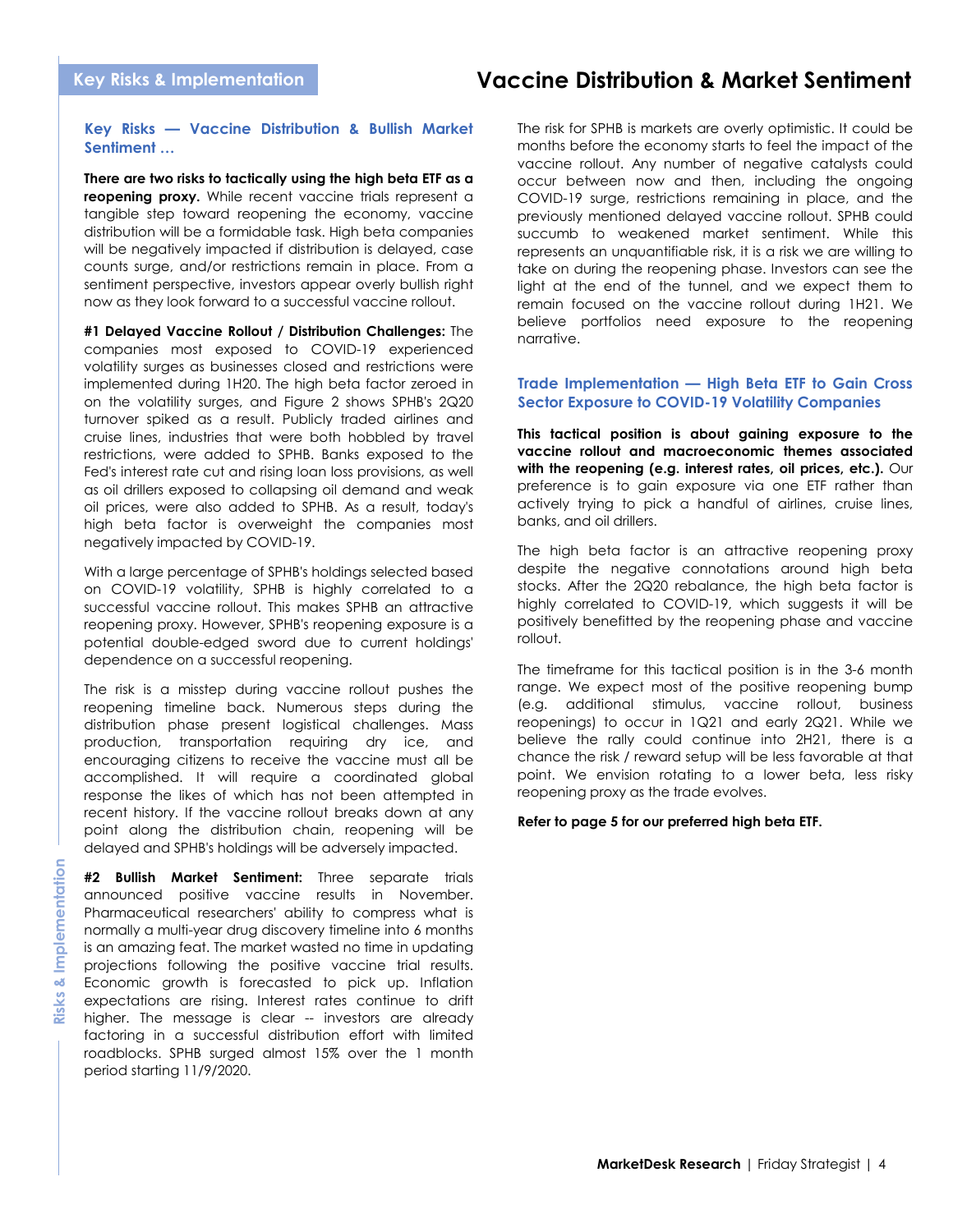# **Vaccine Distribution & Market Sentiment**

#### **Key Risks — Vaccine Distribution & Bullish Market Sentiment …**

**There are two risks to tactically using the high beta ETF as a reopening proxy.** While recent vaccine trials represent a tangible step toward reopening the economy, vaccine distribution will be a formidable task. High beta companies will be negatively impacted if distribution is delayed, case counts surge, and/or restrictions remain in place. From a sentiment perspective, investors appear overly bullish right now as they look forward to a successful vaccine rollout.

**#1 Delayed Vaccine Rollout / Distribution Challenges:** The companies most exposed to COVID-19 experienced volatility surges as businesses closed and restrictions were implemented during 1H20. The high beta factor zeroed in on the volatility surges, and Figure 2 shows SPHB's 2Q20 turnover spiked as a result. Publicly traded airlines and cruise lines, industries that were both hobbled by travel restrictions, were added to SPHB. Banks exposed to the Fed's interest rate cut and rising loan loss provisions, as well as oil drillers exposed to collapsing oil demand and weak oil prices, were also added to SPHB. As a result, today's high beta factor is overweight the companies most negatively impacted by COVID-19.

With a large percentage of SPHB's holdings selected based on COVID-19 volatility, SPHB is highly correlated to a successful vaccine rollout. This makes SPHB an attractive reopening proxy. However, SPHB's reopening exposure is a potential double-edged sword due to current holdings' dependence on a successful reopening.

The risk is a misstep during vaccine rollout pushes the reopening timeline back. Numerous steps during the distribution phase present logistical challenges. Mass production, transportation requiring dry ice, and encouraging citizens to receive the vaccine must all be accomplished. It will require a coordinated global response the likes of which has not been attempted in recent history. If the vaccine rollout breaks down at any point along the distribution chain, reopening will be delayed and SPHB's holdings will be adversely impacted.

**#2 Bullish Market Sentiment:** Three separate trials announced positive vaccine results in November. Pharmaceutical researchers' ability to compress what is normally a multi-year drug discovery timeline into 6 months is an amazing feat. The market wasted no time in updating projections following the positive vaccine trial results. Economic growth is forecasted to pick up. Inflation expectations are rising. Interest rates continue to drift higher. The message is clear -- investors are already factoring in a successful distribution effort with limited roadblocks. SPHB surged almost 15% over the 1 month period starting 11/9/2020.

The risk for SPHB is markets are overly optimistic. It could be months before the economy starts to feel the impact of the vaccine rollout. Any number of negative catalysts could occur between now and then, including the ongoing COVID-19 surge, restrictions remaining in place, and the previously mentioned delayed vaccine rollout. SPHB could succumb to weakened market sentiment. While this represents an unquantifiable risk, it is a risk we are willing to take on during the reopening phase. Investors can see the light at the end of the tunnel, and we expect them to remain focused on the vaccine rollout during 1H21. We believe portfolios need exposure to the reopening narrative.

#### **Trade Implementation — High Beta ETF to Gain Cross Sector Exposure to COVID-19 Volatility Companies**

**This tactical position is about gaining exposure to the vaccine rollout and macroeconomic themes associated with the reopening (e.g. interest rates, oil prices, etc.).** Our preference is to gain exposure via one ETF rather than actively trying to pick a handful of airlines, cruise lines, banks, and oil drillers.

The high beta factor is an attractive reopening proxy despite the negative connotations around high beta stocks. After the 2Q20 rebalance, the high beta factor is highly correlated to COVID-19, which suggests it will be positively benefitted by the reopening phase and vaccine rollout.

The timeframe for this tactical position is in the 3-6 month range. We expect most of the positive reopening bump (e.g. additional stimulus, vaccine rollout, business reopenings) to occur in 1Q21 and early 2Q21. While we believe the rally could continue into 2H21, there is a chance the risk / reward setup will be less favorable at that point. We envision rotating to a lower beta, less risky reopening proxy as the trade evolves.

#### **Refer to page 5 for our preferred high beta ETF.**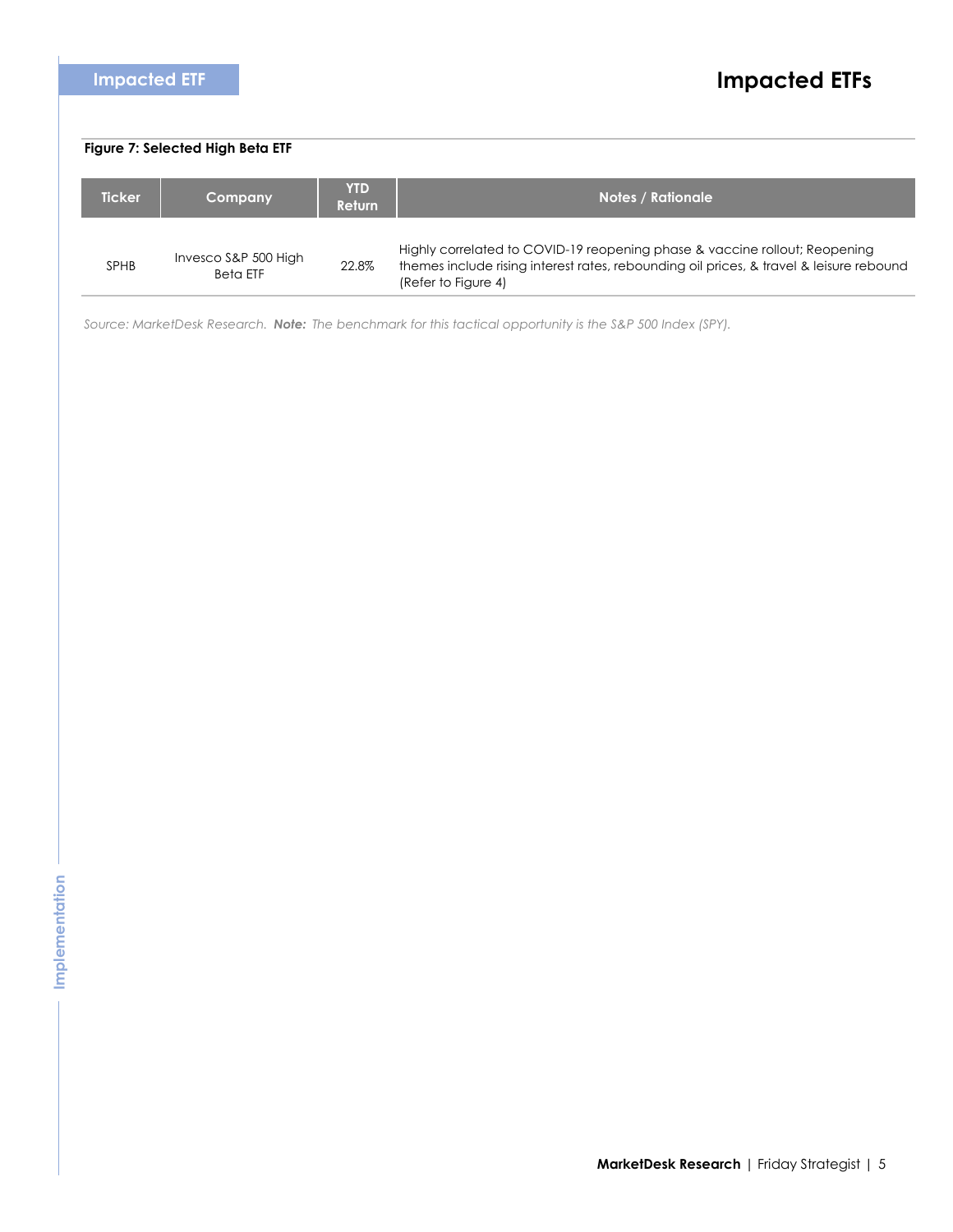| <b>Impacted ETF</b>              |                                         |                             | <b>Impacted ETFs</b>                                                                                                                                                                         |
|----------------------------------|-----------------------------------------|-----------------------------|----------------------------------------------------------------------------------------------------------------------------------------------------------------------------------------------|
|                                  |                                         |                             |                                                                                                                                                                                              |
| Figure 7: Selected High Beta ETF |                                         |                             |                                                                                                                                                                                              |
| <b>Ticker</b>                    | Company                                 | <b>YTD</b><br><b>Return</b> | <b>Notes / Rationale</b>                                                                                                                                                                     |
| <b>SPHB</b>                      | Invesco S&P 500 High<br><b>Beta ETF</b> | 22.8%                       | Highly correlated to COVID-19 reopening phase & vaccine rollout; Reopening<br>themes include rising interest rates, rebounding oil prices, & travel & leisure rebound<br>(Refer to Figure 4) |

*Source: MarketDesk Research. Note: The benchmark for this tactical opportunity is the S&P 500 Index (SPY).*